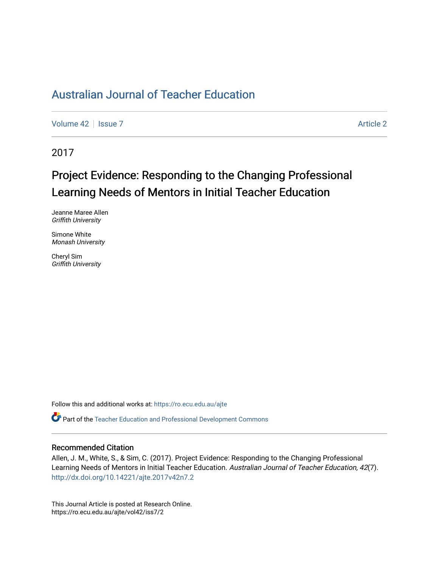## [Australian Journal of Teacher Education](https://ro.ecu.edu.au/ajte)

[Volume 42](https://ro.ecu.edu.au/ajte/vol42) | [Issue 7](https://ro.ecu.edu.au/ajte/vol42/iss7) Article 2

2017

# Project Evidence: Responding to the Changing Professional Learning Needs of Mentors in Initial Teacher Education

Jeanne Maree Allen Griffith University

Simone White Monash University

Cheryl Sim Griffith University

Follow this and additional works at: [https://ro.ecu.edu.au/ajte](https://ro.ecu.edu.au/ajte?utm_source=ro.ecu.edu.au%2Fajte%2Fvol42%2Fiss7%2F2&utm_medium=PDF&utm_campaign=PDFCoverPages) 

Part of the [Teacher Education and Professional Development Commons](http://network.bepress.com/hgg/discipline/803?utm_source=ro.ecu.edu.au%2Fajte%2Fvol42%2Fiss7%2F2&utm_medium=PDF&utm_campaign=PDFCoverPages)

#### Recommended Citation

Allen, J. M., White, S., & Sim, C. (2017). Project Evidence: Responding to the Changing Professional Learning Needs of Mentors in Initial Teacher Education. Australian Journal of Teacher Education, 42(7). <http://dx.doi.org/10.14221/ajte.2017v42n7.2>

This Journal Article is posted at Research Online. https://ro.ecu.edu.au/ajte/vol42/iss7/2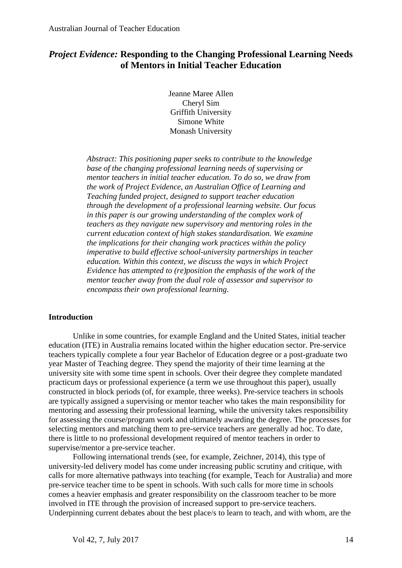### *Project Evidence:* **Responding to the Changing Professional Learning Needs of Mentors in Initial Teacher Education**

Jeanne Maree Allen Cheryl Sim Griffith University Simone White Monash University

*Abstract: This positioning paper seeks to contribute to the knowledge base of the changing professional learning needs of supervising or mentor teachers in initial teacher education. To do so, we draw from the work of Project Evidence, an Australian Office of Learning and Teaching funded project, designed to support teacher education through the development of a professional learning website. Our focus in this paper is our growing understanding of the complex work of teachers as they navigate new supervisory and mentoring roles in the current education context of high stakes standardisation. We examine the implications for their changing work practices within the policy imperative to build effective school-university partnerships in teacher education. Within this context, we discuss the ways in which Project Evidence has attempted to (re)position the emphasis of the work of the mentor teacher away from the dual role of assessor and supervisor to encompass their own professional learning.* 

#### **Introduction**

Unlike in some countries, for example England and the United States, initial teacher education (ITE) in Australia remains located within the higher education sector. Pre-service teachers typically complete a four year Bachelor of Education degree or a post-graduate two year Master of Teaching degree. They spend the majority of their time learning at the university site with some time spent in schools. Over their degree they complete mandated practicum days or professional experience (a term we use throughout this paper), usually constructed in block periods (of, for example, three weeks). Pre-service teachers in schools are typically assigned a supervising or mentor teacher who takes the main responsibility for mentoring and assessing their professional learning, while the university takes responsibility for assessing the course/program work and ultimately awarding the degree. The processes for selecting mentors and matching them to pre-service teachers are generally ad hoc. To date, there is little to no professional development required of mentor teachers in order to supervise/mentor a pre-service teacher.

Following international trends (see, for example, Zeichner, 2014), this type of university-led delivery model has come under increasing public scrutiny and critique, with calls for more alternative pathways into teaching (for example, Teach for Australia) and more pre-service teacher time to be spent in schools. With such calls for more time in schools comes a heavier emphasis and greater responsibility on the classroom teacher to be more involved in ITE through the provision of increased support to pre-service teachers. Underpinning current debates about the best place/s to learn to teach, and with whom, are the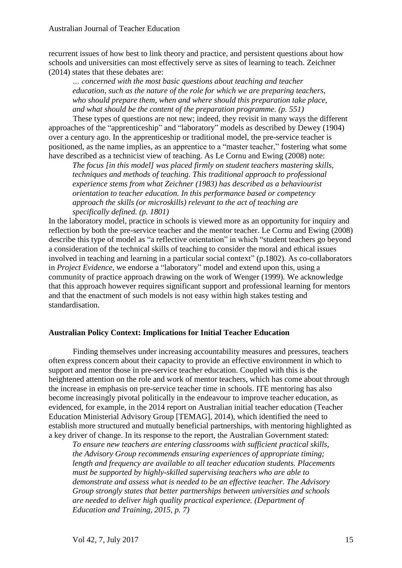recurrent issues of how best to link theory and practice, and persistent questions about how schools and universities can most effectively serve as sites of learning to teach. Zeichner (2014) states that these debates are:

*… concerned with the most basic questions about teaching and teacher education, such as the nature of the role for which we are preparing teachers, who should prepare them, when and where should this preparation take place, and what should be the content of the preparation programme. (p. 551)*

These types of questions are not new; indeed, they revisit in many ways the different approaches of the "apprenticeship" and "laboratory" models as described by Dewey (1904) over a century ago. In the apprenticeship or traditional model, the pre-service teacher is positioned, as the name implies, as an apprentice to a "master teacher," fostering what some have described as a technicist view of teaching. As Le Cornu and Ewing (2008) note:

*The focus [in this model] was placed firmly on student teachers mastering skills, techniques and methods of teaching. This traditional approach to professional experience stems from what Zeichner (1983) has described as a behaviourist orientation to teacher education. In this performance based or competency approach the skills (or microskills) relevant to the act of teaching are specifically defined. (p. 1801)*

In the laboratory model, practice in schools is viewed more as an opportunity for inquiry and reflection by both the pre-service teacher and the mentor teacher. Le Cornu and Ewing (2008) describe this type of model as "a reflective orientation" in which "student teachers go beyond a consideration of the technical skills of teaching to consider the moral and ethical issues involved in teaching and learning in a particular social context" (p.1802). As co-collaborators in *Project Evidence*, we endorse a "laboratory" model and extend upon this, using a community of practice approach drawing on the work of Wenger (1999). We acknowledge that this approach however requires significant support and professional learning for mentors and that the enactment of such models is not easy within high stakes testing and standardisation.

#### **Australian Policy Context: Implications for Initial Teacher Education**

Finding themselves under increasing accountability measures and pressures, teachers often express concern about their capacity to provide an effective environment in which to support and mentor those in pre-service teacher education. Coupled with this is the heightened attention on the role and work of mentor teachers, which has come about through the increase in emphasis on pre-service teacher time in schools. ITE mentoring has also become increasingly pivotal politically in the endeavour to improve teacher education, as evidenced, for example, in the 2014 report on Australian initial teacher education (Teacher Education Ministerial Advisory Group [TEMAG], 2014), which identified the need to establish more structured and mutually beneficial partnerships, with mentoring highlighted as a key driver of change. In its response to the report, the Australian Government stated:

*To ensure new teachers are entering classrooms with sufficient practical skills, the Advisory Group recommends ensuring experiences of appropriate timing; length and frequency are available to all teacher education students. Placements must be supported by highly-skilled supervising teachers who are able to demonstrate and assess what is needed to be an effective teacher. The Advisory Group strongly states that better partnerships between universities and schools are needed to deliver high quality practical experience. (Department of Education and Training, 2015, p. 7)*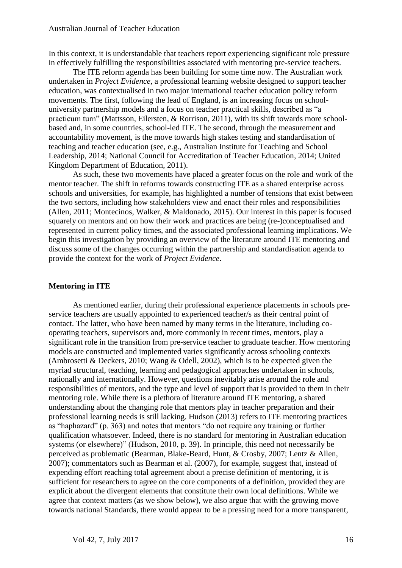In this context, it is understandable that teachers report experiencing significant role pressure in effectively fulfilling the responsibilities associated with mentoring pre-service teachers.

The ITE reform agenda has been building for some time now. The Australian work undertaken in *Project Evidence*, a professional learning website designed to support teacher education, was contextualised in two major international teacher education policy reform movements. The first, following the lead of England, is an increasing focus on schooluniversity partnership models and a focus on teacher practical skills, described as "a practicum turn" (Mattsson, Eilersten, & Rorrison, 2011), with its shift towards more schoolbased and, in some countries, school-led ITE. The second, through the measurement and accountability movement, is the move towards high stakes testing and standardisation of teaching and teacher education (see, e.g., Australian Institute for Teaching and School Leadership, 2014; National Council for Accreditation of Teacher Education, 2014; United Kingdom Department of Education, 2011).

As such, these two movements have placed a greater focus on the role and work of the mentor teacher. The shift in reforms towards constructing ITE as a shared enterprise across schools and universities, for example, has highlighted a number of tensions that exist between the two sectors, including how stakeholders view and enact their roles and responsibilities (Allen, 2011; Montecinos, Walker, & Maldonado, 2015). Our interest in this paper is focused squarely on mentors and on how their work and practices are being (re-)conceptualised and represented in current policy times, and the associated professional learning implications. We begin this investigation by providing an overview of the literature around ITE mentoring and discuss some of the changes occurring within the partnership and standardisation agenda to provide the context for the work of *Project Evidence*.

#### **Mentoring in ITE**

As mentioned earlier, during their professional experience placements in schools preservice teachers are usually appointed to experienced teacher/s as their central point of contact. The latter, who have been named by many terms in the literature, including cooperating teachers, supervisors and, more commonly in recent times, mentors, play a significant role in the transition from pre-service teacher to graduate teacher. How mentoring models are constructed and implemented varies significantly across schooling contexts (Ambrosetti & Deckers, 2010; Wang & Odell, 2002), which is to be expected given the myriad structural, teaching, learning and pedagogical approaches undertaken in schools, nationally and internationally. However, questions inevitably arise around the role and responsibilities of mentors, and the type and level of support that is provided to them in their mentoring role. While there is a plethora of literature around ITE mentoring, a shared understanding about the changing role that mentors play in teacher preparation and their professional learning needs is still lacking. Hudson (2013) refers to ITE mentoring practices as "haphazard" (p. 363) and notes that mentors "do not require any training or further qualification whatsoever. Indeed, there is no standard for mentoring in Australian education systems (or elsewhere)" (Hudson, 2010, p. 39). In principle, this need not necessarily be perceived as problematic (Bearman, Blake-Beard, Hunt, & Crosby, 2007; Lentz & Allen, 2007); commentators such as Bearman et al. (2007), for example, suggest that, instead of expending effort reaching total agreement about a precise definition of mentoring, it is sufficient for researchers to agree on the core components of a definition, provided they are explicit about the divergent elements that constitute their own local definitions. While we agree that context matters (as we show below), we also argue that with the growing move towards national Standards, there would appear to be a pressing need for a more transparent,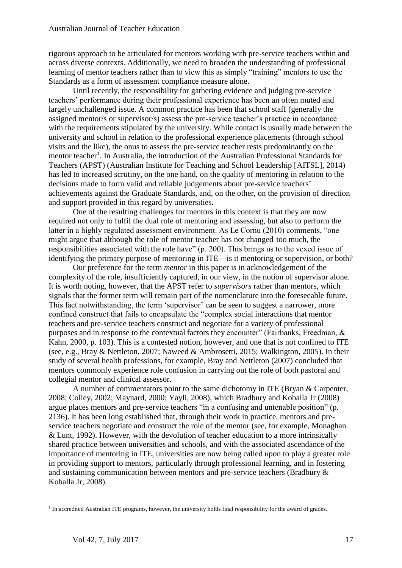rigorous approach to be articulated for mentors working with pre-service teachers within and across diverse contexts. Additionally, we need to broaden the understanding of professional learning of mentor teachers rather than to view this as simply "training" mentors to use the Standards as a form of assessment compliance measure alone.

Until recently, the responsibility for gathering evidence and judging pre-service teachers' performance during their professional experience has been an often muted and largely unchallenged issue. A common practice has been that school staff (generally the assigned mentor/s or supervisor/s) assess the pre-service teacher's practice in accordance with the requirements stipulated by the university. While contact is usually made between the university and school in relation to the professional experience placements (through school visits and the like), the onus to assess the pre-service teacher rests predominantly on the mentor teacher<sup>1</sup>. In Australia, the introduction of the Australian Professional Standards for Teachers (APST) (Australian Institute for Teaching and School Leadership [AITSL], 2014) has led to increased scrutiny, on the one hand, on the quality of mentoring in relation to the decisions made to form valid and reliable judgements about pre-service teachers' achievements against the Graduate Standards, and, on the other, on the provision of direction and support provided in this regard by universities.

One of the resulting challenges for mentors in this context is that they are now required not only to fulfil the dual role of mentoring and assessing, but also to perform the latter in a highly regulated assessment environment. As Le Cornu (2010) comments, "one might argue that although the role of mentor teacher has not changed too much, the responsibilities associated with the role have" (p. 200). This brings us to the vexed issue of identifying the primary purpose of mentoring in ITE—is it mentoring or supervision, or both?

Our preference for the term *mentor* in this paper is in acknowledgement of the complexity of the role, insufficiently captured, in our view, in the notion of supervisor alone. It is worth noting, however, that the APST refer to *supervisors* rather than mentors, which signals that the former term will remain part of the nomenclature into the foreseeable future. This fact notwithstanding, the term 'supervisor' can be seen to suggest a narrower, more confined construct that fails to encapsulate the "complex social interactions that mentor teachers and pre-service teachers construct and negotiate for a variety of professional purposes and in response to the contextual factors they encounter" (Fairbanks, Freedman, & Kahn, 2000, p. 103). This is a contested notion, however, and one that is not confined to ITE (see, e.g., Bray & Nettleton, 2007; Naweed & Ambrosetti, 2015; Walkington, 2005). In their study of several health professions, for example, Bray and Nettleton (2007) concluded that mentors commonly experience role confusion in carrying out the role of both pastoral and collegial mentor and clinical assessor.

A number of commentators point to the same dichotomy in ITE (Bryan & Carpenter, 2008; Colley, 2002; Maynard, 2000; Yayli, 2008), which Bradbury and Koballa Jr (2008) argue places mentors and pre-service teachers "in a confusing and untenable position" (p. 2136). It has been long established that, through their work in practice, mentors and preservice teachers negotiate and construct the role of the mentor (see, for example, Monaghan & Lunt, 1992). However, with the devolution of teacher education to a more intrinsically shared practice between universities and schools, and with the associated ascendance of the importance of mentoring in ITE, universities are now being called upon to play a greater role in providing support to mentors, particularly through professional learning, and in fostering and sustaining communication between mentors and pre-service teachers (Bradbury & Koballa Jr, 2008).

<u>.</u>

<sup>&</sup>lt;sup>1</sup> In accredited Australian ITE programs, however, the university holds final responsibility for the award of grades.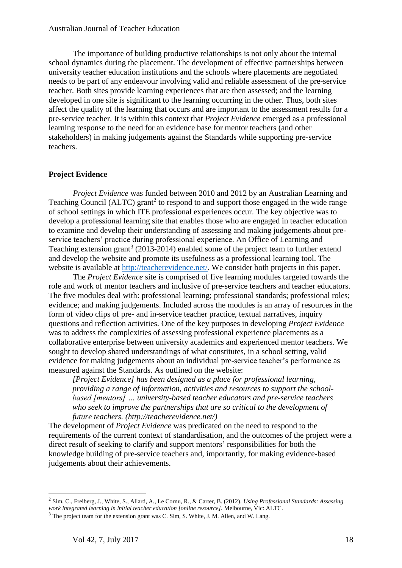The importance of building productive relationships is not only about the internal school dynamics during the placement. The development of effective partnerships between university teacher education institutions and the schools where placements are negotiated needs to be part of any endeavour involving valid and reliable assessment of the pre-service teacher. Both sites provide learning experiences that are then assessed; and the learning developed in one site is significant to the learning occurring in the other. Thus, both sites affect the quality of the learning that occurs and are important to the assessment results for a pre-service teacher. It is within this context that *Project Evidence* emerged as a professional learning response to the need for an evidence base for mentor teachers (and other stakeholders) in making judgements against the Standards while supporting pre-service teachers.

#### **Project Evidence**

*Project Evidence* was funded between 2010 and 2012 by an Australian Learning and Teaching Council (ALTC) grant<sup>2</sup> to respond to and support those engaged in the wide range of school settings in which ITE professional experiences occur. The key objective was to develop a professional learning site that enables those who are engaged in teacher education to examine and develop their understanding of assessing and making judgements about preservice teachers' practice during professional experience. An Office of Learning and Teaching extension grant<sup>3</sup> (2013-2014) enabled some of the project team to further extend and develop the website and promote its usefulness as a professional learning tool. The website is available at [http://teacherevidence.net/.](http://teacherevidence.net/) We consider both projects in this paper.

The *Project Evidence* site is comprised of five learning modules targeted towards the role and work of mentor teachers and inclusive of pre-service teachers and teacher educators. The five modules deal with: professional learning; professional standards; professional roles; evidence; and making judgements. Included across the modules is an array of resources in the form of video clips of pre- and in-service teacher practice, textual narratives, inquiry questions and reflection activities. One of the key purposes in developing *Project Evidence* was to address the complexities of assessing professional experience placements as a collaborative enterprise between university academics and experienced mentor teachers. We sought to develop shared understandings of what constitutes, in a school setting, valid evidence for making judgements about an individual pre-service teacher's performance as measured against the Standards. As outlined on the website:

*[Project Evidence] has been designed as a place for professional learning, providing a range of information, activities and resources to support the schoolbased [mentors] … university-based teacher educators and pre-service teachers who seek to improve the partnerships that are so critical to the development of future teachers. (http://teacherevidence.net/)*

The development of *Project Evidence* was predicated on the need to respond to the requirements of the current context of standardisation, and the outcomes of the project were a direct result of seeking to clarify and support mentors' responsibilities for both the knowledge building of pre-service teachers and, importantly, for making evidence-based judgements about their achievements.

1

<sup>2</sup> Sim, C., Freiberg, J., White, S., Allard, A., Le Cornu, R., & Carter, B. (2012)*. Using Professional Standards: Assessing work integrated learning in initial teacher education [online resource].* Melbourne, Vic: ALTC.

<sup>&</sup>lt;sup>3</sup> The project team for the extension grant was C. Sim, S. White, J. M. Allen, and W. Lang.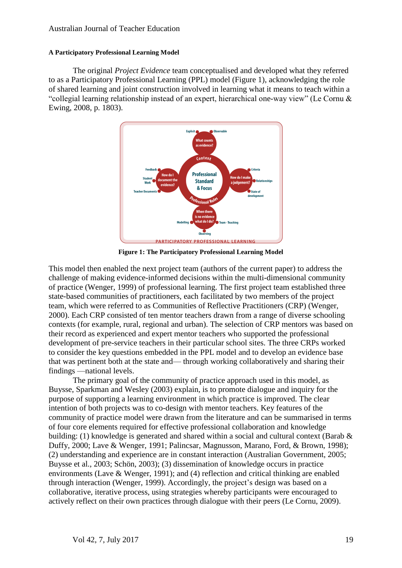#### **A Participatory Professional Learning Model**

The original *Project Evidence* team conceptualised and developed what they referred to as a Participatory Professional Learning (PPL) model (Figure 1), acknowledging the role of shared learning and joint construction involved in learning what it means to teach within a "collegial learning relationship instead of an expert, hierarchical one-way view" (Le Cornu & Ewing, 2008, p. 1803).



**Figure 1: The Participatory Professional Learning Model**

This model then enabled the next project team (authors of the current paper) to address the challenge of making evidence-informed decisions within the multi-dimensional community of practice (Wenger, 1999) of professional learning. The first project team established three state-based communities of practitioners, each facilitated by two members of the project team, which were referred to as Communities of Reflective Practitioners (CRP) (Wenger, 2000). Each CRP consisted of ten mentor teachers drawn from a range of diverse schooling contexts (for example, rural, regional and urban). The selection of CRP mentors was based on their record as experienced and expert mentor teachers who supported the professional development of pre-service teachers in their particular school sites. The three CRPs worked to consider the key questions embedded in the PPL model and to develop an evidence base that was pertinent both at the state and— through working collaboratively and sharing their findings —national levels.

The primary goal of the community of practice approach used in this model, as Buysse, Sparkman and Wesley (2003) explain, is to promote dialogue and inquiry for the purpose of supporting a learning environment in which practice is improved. The clear intention of both projects was to co-design with mentor teachers. Key features of the community of practice model were drawn from the literature and can be summarised in terms of four core elements required for effective professional collaboration and knowledge building: (1) knowledge is generated and shared within a social and cultural context (Barab & Duffy, 2000; Lave & Wenger, 1991; Palincsar, Magnusson, Marano, Ford, & Brown, 1998); (2) understanding and experience are in constant interaction (Australian Government, 2005; Buysse et al., 2003; Schön, 2003); (3) dissemination of knowledge occurs in practice environments (Lave & Wenger, 1991); and (4) reflection and critical thinking are enabled through interaction (Wenger, 1999). Accordingly, the project's design was based on a collaborative, iterative process, using strategies whereby participants were encouraged to actively reflect on their own practices through dialogue with their peers (Le Cornu, 2009).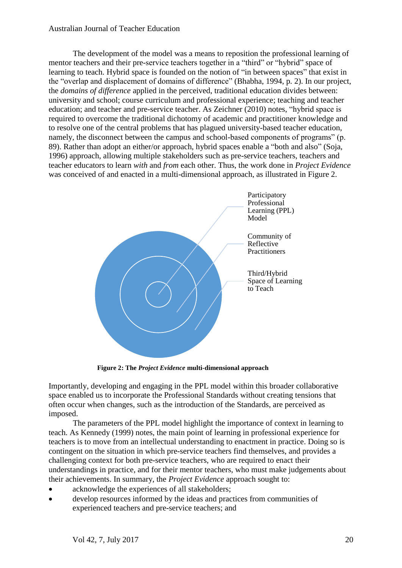#### Australian Journal of Teacher Education

The development of the model was a means to reposition the professional learning of mentor teachers and their pre-service teachers together in a "third" or "hybrid" space of learning to teach. Hybrid space is founded on the notion of "in between spaces" that exist in the "overlap and displacement of domains of difference" (Bhabha, 1994, p. 2). In our project, the *domains of difference* applied in the perceived, traditional education divides between: university and school; course curriculum and professional experience; teaching and teacher education; and teacher and pre-service teacher. As Zeichner (2010) notes, "hybrid space is required to overcome the traditional dichotomy of academic and practitioner knowledge and to resolve one of the central problems that has plagued university-based teacher education, namely, the disconnect between the campus and school-based components of programs" (p. 89). Rather than adopt an either/or approach, hybrid spaces enable a "both and also" (Soja, 1996) approach, allowing multiple stakeholders such as pre-service teachers, teachers and teacher educators to learn *with* and *from* each other. Thus, the work done in *Project Evidence* was conceived of and enacted in a multi-dimensional approach, as illustrated in Figure 2.



**Figure 2: The** *Project Evidence* **multi-dimensional approach**

Importantly, developing and engaging in the PPL model within this broader collaborative space enabled us to incorporate the Professional Standards without creating tensions that often occur when changes, such as the introduction of the Standards, are perceived as imposed.

The parameters of the PPL model highlight the importance of context in learning to teach. As Kennedy (1999) notes, the main point of learning in professional experience for teachers is to move from an intellectual understanding to enactment in practice. Doing so is contingent on the situation in which pre-service teachers find themselves, and provides a challenging context for both pre-service teachers, who are required to enact their understandings in practice, and for their mentor teachers, who must make judgements about their achievements. In summary, the *Project Evidence* approach sought to:

- acknowledge the experiences of all stakeholders;
- develop resources informed by the ideas and practices from communities of experienced teachers and pre-service teachers; and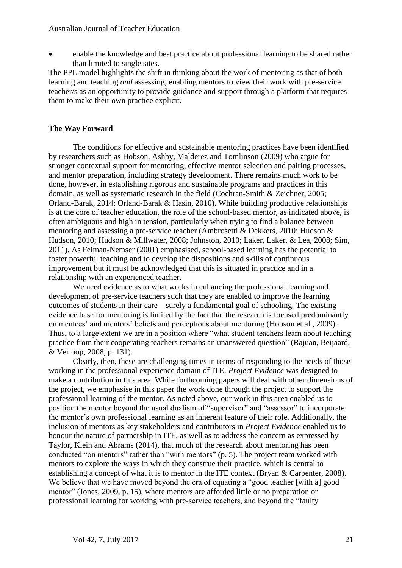#### Australian Journal of Teacher Education

• enable the knowledge and best practice about professional learning to be shared rather than limited to single sites.

The PPL model highlights the shift in thinking about the work of mentoring as that of both learning and teaching *and* assessing, enabling mentors to view their work with pre-service teacher/s as an opportunity to provide guidance and support through a platform that requires them to make their own practice explicit.

#### **The Way Forward**

The conditions for effective and sustainable mentoring practices have been identified by researchers such as Hobson, Ashby, Malderez and Tomlinson (2009) who argue for stronger contextual support for mentoring, effective mentor selection and pairing processes, and mentor preparation, including strategy development. There remains much work to be done, however, in establishing rigorous and sustainable programs and practices in this domain, as well as systematic research in the field (Cochran-Smith & Zeichner, 2005; Orland-Barak, 2014; Orland-Barak & Hasin, 2010). While building productive relationships is at the core of teacher education, the role of the school-based mentor, as indicated above, is often ambiguous and high in tension, particularly when trying to find a balance between mentoring and assessing a pre-service teacher (Ambrosetti & Dekkers, 2010; Hudson & Hudson, 2010; Hudson & Millwater, 2008; Johnston, 2010; Laker, Laker, & Lea, 2008; Sim, 2011). As Feiman-Nemser (2001) emphasised, school-based learning has the potential to foster powerful teaching and to develop the dispositions and skills of continuous improvement but it must be acknowledged that this is situated in practice and in a relationship with an experienced teacher.

We need evidence as to what works in enhancing the professional learning and development of pre-service teachers such that they are enabled to improve the learning outcomes of students in their care—surely a fundamental goal of schooling. The existing evidence base for mentoring is limited by the fact that the research is focused predominantly on mentees' and mentors' beliefs and perceptions about mentoring (Hobson et al., 2009). Thus, to a large extent we are in a position where "what student teachers learn about teaching practice from their cooperating teachers remains an unanswered question" (Rajuan, Beijaard, & Verloop, 2008, p. 131).

Clearly, then, these are challenging times in terms of responding to the needs of those working in the professional experience domain of ITE. *Project Evidence* was designed to make a contribution in this area. While forthcoming papers will deal with other dimensions of the project, we emphasise in this paper the work done through the project to support the professional learning of the mentor. As noted above, our work in this area enabled us to position the mentor beyond the usual dualism of "supervisor" and "assessor" to incorporate the mentor's own professional learning as an inherent feature of their role. Additionally, the inclusion of mentors as key stakeholders and contributors in *Project Evidence* enabled us to honour the nature of partnership in ITE, as well as to address the concern as expressed by Taylor, Klein and Abrams (2014), that much of the research about mentoring has been conducted "on mentors" rather than "with mentors" (p. 5). The project team worked with mentors to explore the ways in which they construe their practice, which is central to establishing a concept of what it is to mentor in the ITE context (Bryan & Carpenter, 2008). We believe that we have moved beyond the era of equating a "good teacher [with a] good mentor" (Jones, 2009, p. 15), where mentors are afforded little or no preparation or professional learning for working with pre-service teachers, and beyond the "faulty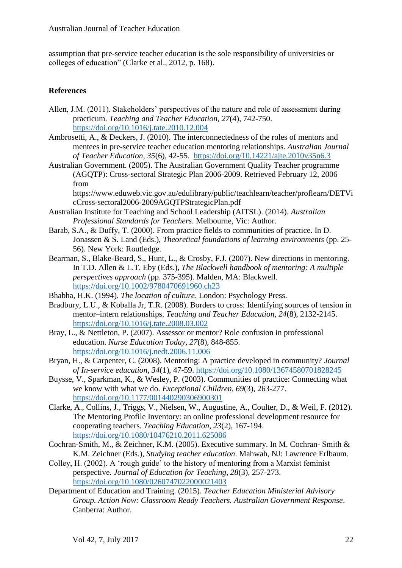assumption that pre-service teacher education is the sole responsibility of universities or colleges of education" (Clarke et al., 2012, p. 168).

#### **References**

- Allen, J.M. (2011). Stakeholders' perspectives of the nature and role of assessment during practicum. *Teaching and Teacher Education, 27*(4), 742-750. <https://doi.org/10.1016/j.tate.2010.12.004>
- Ambrosetti, A., & Deckers, J. (2010). The interconnectedness of the roles of mentors and mentees in pre-service teacher education mentoring relationships. *Australian Journal of Teacher Education, 35*(6), 42-55. <https://doi.org/10.14221/ajte.2010v35n6.3>
- Australian Government. (2005). The Australian Government Quality Teacher programme (AGQTP): Cross-sectoral Strategic Plan 2006-2009. Retrieved February 12, 2006 from

https://www.eduweb.vic.gov.au/edulibrary/public/teachlearn/teacher/proflearn/DETVi cCross-sectoral2006-2009AGQTPStrategicPlan.pdf

- Australian Institute for Teaching and School Leadership (AITSL). (2014). *Australian Professional Standards for Teachers*. Melbourne, Vic: Author.
- Barab, S.A., & Duffy, T. (2000). From practice fields to communities of practice. In D. Jonassen & S. Land (Eds.), *Theoretical foundations of learning environments* (pp. 25- 56). New York: Routledge.
- Bearman, S., Blake-Beard, S., Hunt, L., & Crosby, F.J. (2007). New directions in mentoring. In T.D. Allen & L.T. Eby (Eds.), *The Blackwell handbook of mentoring: A multiple perspectives approach* (pp. 375-395). Malden, MA: Blackwell. <https://doi.org/10.1002/9780470691960.ch23>
- Bhabha, H.K. (1994). *The location of culture*. London: Psychology Press.
- Bradbury, L.U., & Koballa Jr, T.R. (2008). Borders to cross: Identifying sources of tension in mentor–intern relationships. *Teaching and Teacher Education, 24*(8), 2132-2145. <https://doi.org/10.1016/j.tate.2008.03.002>
- Bray, L., & Nettleton, P. (2007). Assessor or mentor? Role confusion in professional education. *Nurse Education Today, 27*(8), 848-855. <https://doi.org/10.1016/j.nedt.2006.11.006>
- Bryan, H., & Carpenter, C. (2008). Mentoring: A practice developed in community? *Journal of In-service education, 34*(1), 47-59.<https://doi.org/10.1080/13674580701828245>
- Buysse, V., Sparkman, K., & Wesley, P. (2003). Communities of practice: Connecting what we know with what we do. *Exceptional Children, 69*(3), 263-277. <https://doi.org/10.1177/001440290306900301>
- Clarke, A., Collins, J., Triggs, V., Nielsen, W., Augustine, A., Coulter, D., & Weil, F. (2012). The Mentoring Profile Inventory: an online professional development resource for cooperating teachers. *Teaching Education, 23*(2), 167-194. <https://doi.org/10.1080/10476210.2011.625086>
- Cochran-Smith, M., & Zeichner, K.M. (2005). Executive summary. In M. Cochran- Smith & K.M. Zeichner (Eds.), *Studying teacher education*. Mahwah, NJ: Lawrence Erlbaum.
- Colley, H. (2002). A 'rough guide' to the history of mentoring from a Marxist feminist perspective. *Journal of Education for Teaching, 28*(3), 257-273. <https://doi.org/10.1080/0260747022000021403>
- Department of Education and Training. (2015). *Teacher Education Ministerial Advisory Group. Action Now: Classroom Ready Teachers. Australian Government Response*. Canberra: Author.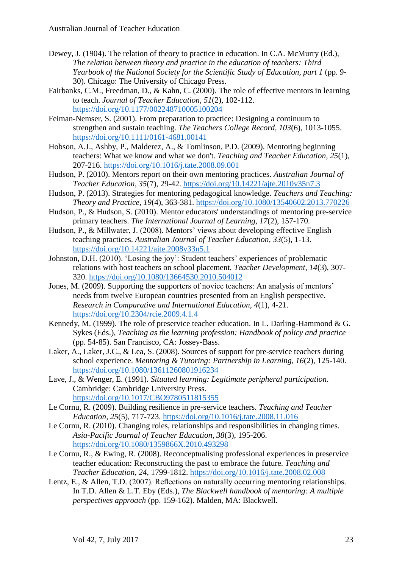- Dewey, J. (1904). The relation of theory to practice in education. In C.A. McMurry (Ed.), *The relation between theory and practice in the education of teachers: Third Yearbook of the National Society for the Scientific Study of Education, part 1* (pp. 9- 30). Chicago: The University of Chicago Press.
- Fairbanks, C.M., Freedman, D., & Kahn, C. (2000). The role of effective mentors in learning to teach. *Journal of Teacher Education, 51*(2), 102-112. <https://doi.org/10.1177/002248710005100204>
- Feiman-Nemser, S. (2001). From preparation to practice: Designing a continuum to strengthen and sustain teaching. *The Teachers College Record, 103*(6), 1013-1055. <https://doi.org/10.1111/0161-4681.00141>
- Hobson, A.J., Ashby, P., Malderez, A., & Tomlinson, P.D. (2009). Mentoring beginning teachers: What we know and what we don't. *Teaching and Teacher Education, 25*(1), 207-216.<https://doi.org/10.1016/j.tate.2008.09.001>
- Hudson, P. (2010). Mentors report on their own mentoring practices. *Australian Journal of Teacher Education, 35*(7), 29-42.<https://doi.org/10.14221/ajte.2010v35n7.3>
- Hudson, P. (2013). Strategies for mentoring pedagogical knowledge. *Teachers and Teaching: Theory and Practice, 19*(4), 363-381.<https://doi.org/10.1080/13540602.2013.770226>
- Hudson, P., & Hudson, S. (2010). Mentor educators' understandings of mentoring pre-service primary teachers. *The International Journal of Learning, 17*(2), 157-170.
- Hudson, P., & Millwater, J. (2008). Mentors' views about developing effective English teaching practices. *Australian Journal of Teacher Education, 33*(5), 1-13. <https://doi.org/10.14221/ajte.2008v33n5.1>
- Johnston, D.H. (2010). 'Losing the joy': Student teachers' experiences of problematic relations with host teachers on school placement. *Teacher Development, 14*(3), 307- 320. <https://doi.org/10.1080/13664530.2010.504012>
- Jones, M. (2009). Supporting the supporters of novice teachers: An analysis of mentors' needs from twelve European countries presented from an English perspective. *Research in Comparative and International Education, 4*(1), 4-21. <https://doi.org/10.2304/rcie.2009.4.1.4>
- Kennedy, M. (1999). The role of preservice teacher education. In L. Darling-Hammond & G. Sykes (Eds.), *Teaching as the learning profession: Handbook of policy and practice* (pp. 54-85). San Francisco, CA: Jossey-Bass.
- Laker, A., Laker, J.C., & Lea, S. (2008). Sources of support for pre-service teachers during school experience. *Mentoring & Tutoring: Partnership in Learning, 16*(2), 125-140. <https://doi.org/10.1080/13611260801916234>
- Lave, J., & Wenger, E. (1991). *Situated learning: Legitimate peripheral participation*. Cambridge: Cambridge University Press. <https://doi.org/10.1017/CBO9780511815355>
- Le Cornu, R. (2009). Building resilience in pre-service teachers. *Teaching and Teacher Education, 25*(5), 717-723. <https://doi.org/10.1016/j.tate.2008.11.016>
- Le Cornu, R. (2010). Changing roles, relationships and responsibilities in changing times. *Asia-Pacific Journal of Teacher Education, 38*(3), 195-206. <https://doi.org/10.1080/1359866X.2010.493298>
- Le Cornu, R., & Ewing, R. (2008). Reconceptualising professional experiences in preservice teacher education: Reconstructing the past to embrace the future. *Teaching and Teacher Education, 24*, 1799-1812.<https://doi.org/10.1016/j.tate.2008.02.008>
- Lentz, E., & Allen, T.D. (2007). Reflections on naturally occurring mentoring relationships. In T.D. Allen & L.T. Eby (Eds.), *The Blackwell handbook of mentoring: A multiple perspectives approach* (pp. 159-162). Malden, MA: Blackwell.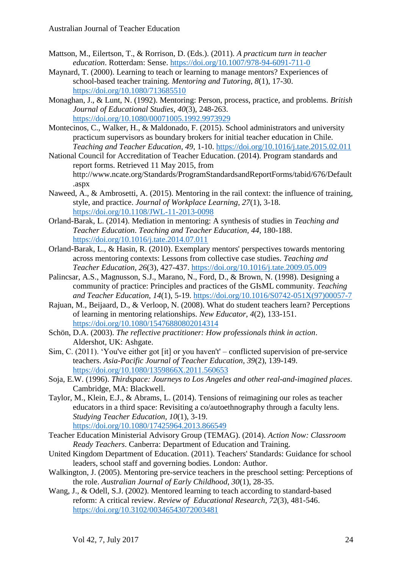- Mattson, M., Eilertson, T., & Rorrison, D. (Eds.). (2011). *A practicum turn in teacher education*. Rotterdam: Sense. <https://doi.org/10.1007/978-94-6091-711-0>
- Maynard, T. (2000). Learning to teach or learning to manage mentors? Experiences of school-based teacher training. *Mentoring and Tutoring, 8*(1), 17-30. <https://doi.org/10.1080/713685510>
- Monaghan, J., & Lunt, N. (1992). Mentoring: Person, process, practice, and problems. *British Journal of Educational Studies, 40*(3), 248-263. <https://doi.org/10.1080/00071005.1992.9973929>
- Montecinos, C., Walker, H., & Maldonado, F. (2015). School administrators and university practicum supervisors as boundary brokers for initial teacher education in Chile. *Teaching and Teacher Education, 49*, 1-10.<https://doi.org/10.1016/j.tate.2015.02.011>
- National Council for Accreditation of Teacher Education. (2014). Program standards and report forms. Retrieved 11 May 2015, from http://www.ncate.org/Standards/ProgramStandardsandReportForms/tabid/676/Default .aspx
- Naweed, A., & Ambrosetti, A. (2015). Mentoring in the rail context: the influence of training, style, and practice. *Journal of Workplace Learning, 27*(1), 3-18. <https://doi.org/10.1108/JWL-11-2013-0098>
- Orland-Barak, L. (2014). Mediation in mentoring: A synthesis of studies in *Teaching and Teacher Education*. *Teaching and Teacher Education, 44*, 180-188. <https://doi.org/10.1016/j.tate.2014.07.011>
- Orland-Barak, L., & Hasin, R. (2010). Exemplary mentors' perspectives towards mentoring across mentoring contexts: Lessons from collective case studies. *Teaching and Teacher Education, 26*(3), 427-437.<https://doi.org/10.1016/j.tate.2009.05.009>
- Palincsar, A.S., Magnusson, S.J., Marano, N., Ford, D., & Brown, N. (1998). Designing a community of practice: Principles and practices of the GIsML community. *Teaching and Teacher Education, 14*(1), 5-19. [https://doi.org/10.1016/S0742-051X\(97\)00057-7](https://doi.org/10.1016/S0742-051X%2897%2900057-7)
- Rajuan, M., Beijaard, D., & Verloop, N. (2008). What do student teachers learn? Perceptions of learning in mentoring relationships. *New Educator, 4*(2), 133-151. <https://doi.org/10.1080/15476880802014314>
- Schön, D.A. (2003). *The reflective practitioner: How professionals think in action*. Aldershot, UK: Ashgate.
- Sim, C. (2011). 'You've either got [it] or you haven't' conflicted supervision of pre-service teachers. *Asia-Pacific Journal of Teacher Education, 39*(2), 139-149. <https://doi.org/10.1080/1359866X.2011.560653>
- Soja, E.W. (1996). *Thirdspace: Journeys to Los Angeles and other real-and-imagined places*. Cambridge, MA: Blackwell.
- Taylor, M., Klein, E.J., & Abrams, L. (2014). Tensions of reimagining our roles as teacher educators in a third space: Revisiting a co/autoethnography through a faculty lens. *Studying Teacher Education, 10*(1), 3-19. <https://doi.org/10.1080/17425964.2013.866549>
- Teacher Education Ministerial Advisory Group (TEMAG). (2014). *Action Now: Classroom Ready Teachers*. Canberra: Department of Education and Training.
- United Kingdom Department of Education. (2011). Teachers' Standards: Guidance for school leaders, school staff and governing bodies. London: Author.
- Walkington, J. (2005). Mentoring pre-service teachers in the preschool setting: Perceptions of the role. *Australian Journal of Early Childhood, 30*(1), 28-35.
- Wang, J., & Odell, S.J. (2002). Mentored learning to teach according to standard-based reform: A critical review. *Review of Educational Research, 72*(3), 481-546. <https://doi.org/10.3102/00346543072003481>